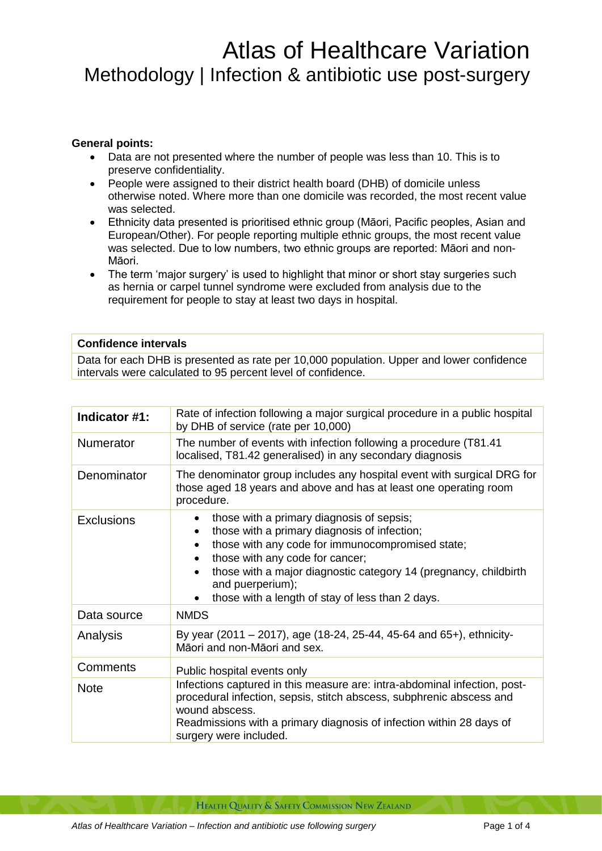## Atlas of Healthcare Variation Methodology | Infection & antibiotic use post-surgery

## **General points:**

- Data are not presented where the number of people was less than 10. This is to preserve confidentiality.
- People were assigned to their district health board (DHB) of domicile unless otherwise noted. Where more than one domicile was recorded, the most recent value was selected.
- Ethnicity data presented is prioritised ethnic group (Māori, Pacific peoples, Asian and European/Other). For people reporting multiple ethnic groups, the most recent value was selected. Due to low numbers, two ethnic groups are reported: Māori and non-Māori.
- The term 'major surgery' is used to highlight that minor or short stay surgeries such as hernia or carpel tunnel syndrome were excluded from analysis due to the requirement for people to stay at least two days in hospital.

## **Confidence intervals**

Data for each DHB is presented as rate per 10,000 population. Upper and lower confidence intervals were calculated to 95 percent level of confidence.

| Indicator #1:     | Rate of infection following a major surgical procedure in a public hospital<br>by DHB of service (rate per 10,000)                                                                                                                                                                                                           |
|-------------------|------------------------------------------------------------------------------------------------------------------------------------------------------------------------------------------------------------------------------------------------------------------------------------------------------------------------------|
| Numerator         | The number of events with infection following a procedure (T81.41<br>localised, T81.42 generalised) in any secondary diagnosis                                                                                                                                                                                               |
| Denominator       | The denominator group includes any hospital event with surgical DRG for<br>those aged 18 years and above and has at least one operating room<br>procedure.                                                                                                                                                                   |
| <b>Exclusions</b> | those with a primary diagnosis of sepsis;<br>those with a primary diagnosis of infection;<br>those with any code for immunocompromised state;<br>those with any code for cancer;<br>those with a major diagnostic category 14 (pregnancy, childbirth<br>and puerperium);<br>those with a length of stay of less than 2 days. |
| Data source       | <b>NMDS</b>                                                                                                                                                                                                                                                                                                                  |
| Analysis          | By year (2011 – 2017), age (18-24, 25-44, 45-64 and 65+), ethnicity-<br>Māori and non-Māori and sex.                                                                                                                                                                                                                         |
| <b>Comments</b>   | Public hospital events only                                                                                                                                                                                                                                                                                                  |
| <b>Note</b>       | Infections captured in this measure are: intra-abdominal infection, post-<br>procedural infection, sepsis, stitch abscess, subphrenic abscess and<br>wound abscess.<br>Readmissions with a primary diagnosis of infection within 28 days of<br>surgery were included.                                                        |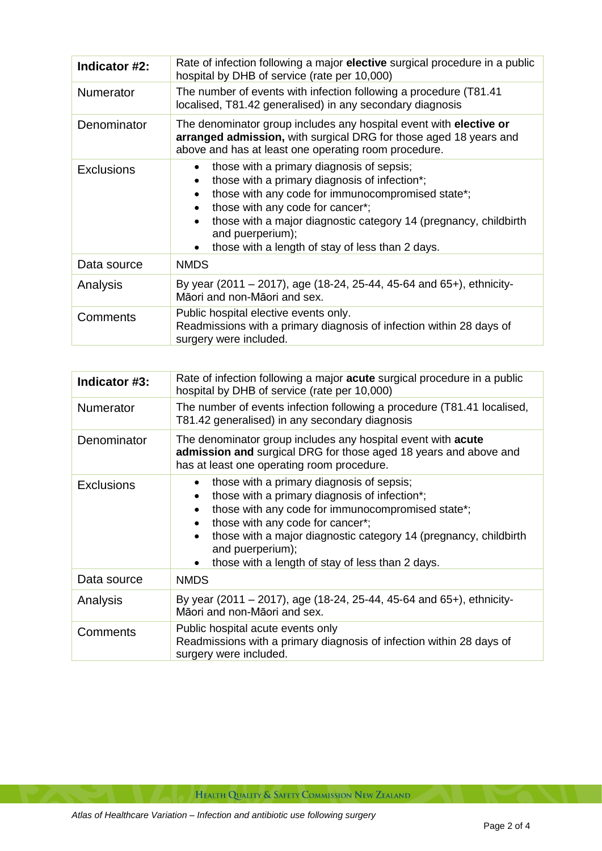| Indicator #2:     | Rate of infection following a major elective surgical procedure in a public<br>hospital by DHB of service (rate per 10,000)                                                                                                                                                                                                                  |
|-------------------|----------------------------------------------------------------------------------------------------------------------------------------------------------------------------------------------------------------------------------------------------------------------------------------------------------------------------------------------|
| <b>Numerator</b>  | The number of events with infection following a procedure (T81.41)<br>localised, T81.42 generalised) in any secondary diagnosis                                                                                                                                                                                                              |
| Denominator       | The denominator group includes any hospital event with <b>elective or</b><br>arranged admission, with surgical DRG for those aged 18 years and<br>above and has at least one operating room procedure.                                                                                                                                       |
| <b>Exclusions</b> | those with a primary diagnosis of sepsis;<br>those with a primary diagnosis of infection*;<br>$\bullet$<br>those with any code for immunocompromised state*;<br>those with any code for cancer*;<br>those with a major diagnostic category 14 (pregnancy, childbirth<br>and puerperium);<br>those with a length of stay of less than 2 days. |
| Data source       | <b>NMDS</b>                                                                                                                                                                                                                                                                                                                                  |
| Analysis          | By year (2011 – 2017), age (18-24, 25-44, 45-64 and 65+), ethnicity-<br>Māori and non-Māori and sex.                                                                                                                                                                                                                                         |
| <b>Comments</b>   | Public hospital elective events only.<br>Readmissions with a primary diagnosis of infection within 28 days of<br>surgery were included.                                                                                                                                                                                                      |

| Indicator #3:     | Rate of infection following a major <b>acute</b> surgical procedure in a public<br>hospital by DHB of service (rate per 10,000)                                                                                                                                                                                                                           |
|-------------------|-----------------------------------------------------------------------------------------------------------------------------------------------------------------------------------------------------------------------------------------------------------------------------------------------------------------------------------------------------------|
| <b>Numerator</b>  | The number of events infection following a procedure (T81.41 localised,<br>T81.42 generalised) in any secondary diagnosis                                                                                                                                                                                                                                 |
| Denominator       | The denominator group includes any hospital event with <b>acute</b><br>admission and surgical DRG for those aged 18 years and above and<br>has at least one operating room procedure.                                                                                                                                                                     |
| <b>Exclusions</b> | those with a primary diagnosis of sepsis;<br>those with a primary diagnosis of infection*;<br>$\bullet$<br>those with any code for immunocompromised state*;<br>those with any code for cancer*;<br>those with a major diagnostic category 14 (pregnancy, childbirth<br>and puerperium);<br>those with a length of stay of less than 2 days.<br>$\bullet$ |
| Data source       | <b>NMDS</b>                                                                                                                                                                                                                                                                                                                                               |
| Analysis          | By year (2011 – 2017), age (18-24, 25-44, 45-64 and 65+), ethnicity-<br>Māori and non-Māori and sex.                                                                                                                                                                                                                                                      |
| Comments          | Public hospital acute events only<br>Readmissions with a primary diagnosis of infection within 28 days of<br>surgery were included.                                                                                                                                                                                                                       |

HEALTH QUALITY & SAFETY COMMISSION NEW ZEALAND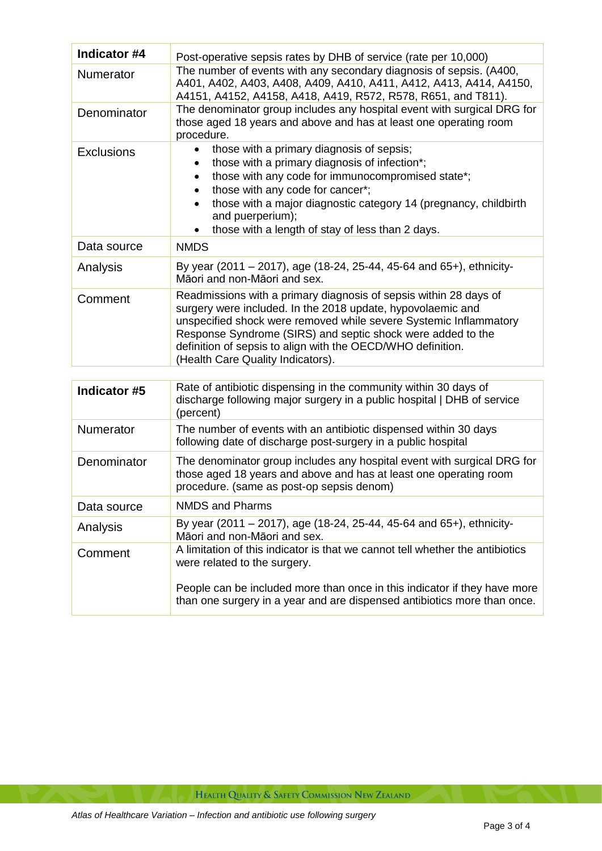| Indicator #4      | Post-operative sepsis rates by DHB of service (rate per 10,000)                                                                                                                                                                                                                                                                                                          |
|-------------------|--------------------------------------------------------------------------------------------------------------------------------------------------------------------------------------------------------------------------------------------------------------------------------------------------------------------------------------------------------------------------|
| <b>Numerator</b>  | The number of events with any secondary diagnosis of sepsis. (A400,<br>A401, A402, A403, A408, A409, A410, A411, A412, A413, A414, A4150,<br>A4151, A4152, A4158, A418, A419, R572, R578, R651, and T811).                                                                                                                                                               |
| Denominator       | The denominator group includes any hospital event with surgical DRG for<br>those aged 18 years and above and has at least one operating room<br>procedure.                                                                                                                                                                                                               |
| <b>Exclusions</b> | those with a primary diagnosis of sepsis;<br>those with a primary diagnosis of infection*;<br>those with any code for immunocompromised state*;<br>$\bullet$<br>those with any code for cancer*;<br>those with a major diagnostic category 14 (pregnancy, childbirth<br>and puerperium);<br>those with a length of stay of less than 2 days.                             |
| Data source       | <b>NMDS</b>                                                                                                                                                                                                                                                                                                                                                              |
| Analysis          | By year (2011 – 2017), age (18-24, 25-44, 45-64 and 65+), ethnicity-<br>Māori and non-Māori and sex.                                                                                                                                                                                                                                                                     |
| Comment           | Readmissions with a primary diagnosis of sepsis within 28 days of<br>surgery were included. In the 2018 update, hypovolaemic and<br>unspecified shock were removed while severe Systemic Inflammatory<br>Response Syndrome (SIRS) and septic shock were added to the<br>definition of sepsis to align with the OECD/WHO definition.<br>(Health Care Quality Indicators). |
|                   |                                                                                                                                                                                                                                                                                                                                                                          |
| Indicator #5      | Rate of antibiotic dispensing in the community within 30 days of<br>discharge following major surgery in a public hospital   DHB of service<br>(percent)                                                                                                                                                                                                                 |
| Numerator         | The number of events with an antibiotic dispensed within 30 days<br>following date of discharge post-surgery in a public hospital                                                                                                                                                                                                                                        |
| Denominator       | The denominator group includes any hospital event with surgical DRG for<br>those aged 18 years and above and has at least one operating room<br>procedure. (same as post-op sepsis denom)                                                                                                                                                                                |
| Data source       | <b>NMDS and Pharms</b>                                                                                                                                                                                                                                                                                                                                                   |
| Analysis          | By year (2011 - 2017), age (18-24, 25-44, 45-64 and 65+), ethnicity-<br>Māori and non-Māori and sex.                                                                                                                                                                                                                                                                     |
| Comment           | A limitation of this indicator is that we cannot tell whether the antibiotics<br>were related to the surgery.<br>People can be included more than once in this indicator if they have more                                                                                                                                                                               |
|                   | than one surgery in a year and are dispensed antibiotics more than once.                                                                                                                                                                                                                                                                                                 |

HEALTH QUALITY & SAFETY COMMISSION NEW ZEALAND